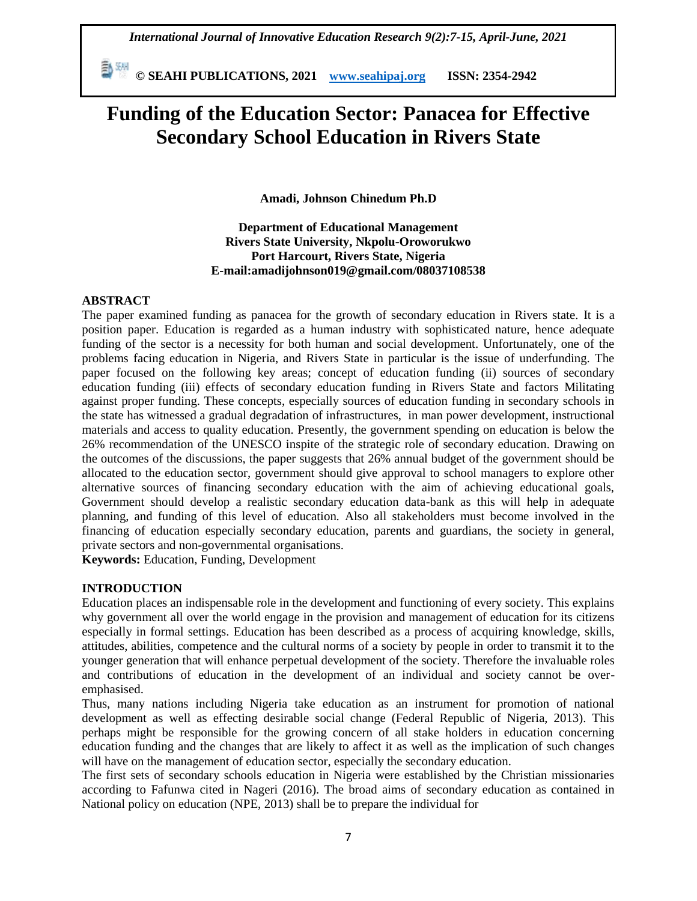**© SEAHI PUBLICATIONS, 2021 [www.seahipaj.org](http://www.seahipaj.org/) ISSN: 2354-2942**

# **Funding of the Education Sector: Panacea for Effective Secondary School Education in Rivers State**

**Amadi, Johnson Chinedum Ph.D**

**Department of Educational Management Rivers State University, Nkpolu-Oroworukwo Port Harcourt, Rivers State, Nigeria E-mail:amadijohnson019@gmail.com/08037108538**

## **ABSTRACT**

The paper examined funding as panacea for the growth of secondary education in Rivers state. It is a position paper. Education is regarded as a human industry with sophisticated nature, hence adequate funding of the sector is a necessity for both human and social development. Unfortunately, one of the problems facing education in Nigeria, and Rivers State in particular is the issue of underfunding. The paper focused on the following key areas; concept of education funding (ii) sources of secondary education funding (iii) effects of secondary education funding in Rivers State and factors Militating against proper funding. These concepts, especially sources of education funding in secondary schools in the state has witnessed a gradual degradation of infrastructures, in man power development, instructional materials and access to quality education. Presently, the government spending on education is below the 26% recommendation of the UNESCO inspite of the strategic role of secondary education. Drawing on the outcomes of the discussions, the paper suggests that 26% annual budget of the government should be allocated to the education sector, government should give approval to school managers to explore other alternative sources of financing secondary education with the aim of achieving educational goals, Government should develop a realistic secondary education data-bank as this will help in adequate planning, and funding of this level of education. Also all stakeholders must become involved in the financing of education especially secondary education, parents and guardians, the society in general, private sectors and non-governmental organisations.

**Keywords:** Education, Funding, Development

## **INTRODUCTION**

Education places an indispensable role in the development and functioning of every society. This explains why government all over the world engage in the provision and management of education for its citizens especially in formal settings. Education has been described as a process of acquiring knowledge, skills, attitudes, abilities, competence and the cultural norms of a society by people in order to transmit it to the younger generation that will enhance perpetual development of the society. Therefore the invaluable roles and contributions of education in the development of an individual and society cannot be overemphasised.

Thus, many nations including Nigeria take education as an instrument for promotion of national development as well as effecting desirable social change (Federal Republic of Nigeria, 2013). This perhaps might be responsible for the growing concern of all stake holders in education concerning education funding and the changes that are likely to affect it as well as the implication of such changes will have on the management of education sector, especially the secondary education.

The first sets of secondary schools education in Nigeria were established by the Christian missionaries according to Fafunwa cited in Nageri (2016). The broad aims of secondary education as contained in National policy on education (NPE, 2013) shall be to prepare the individual for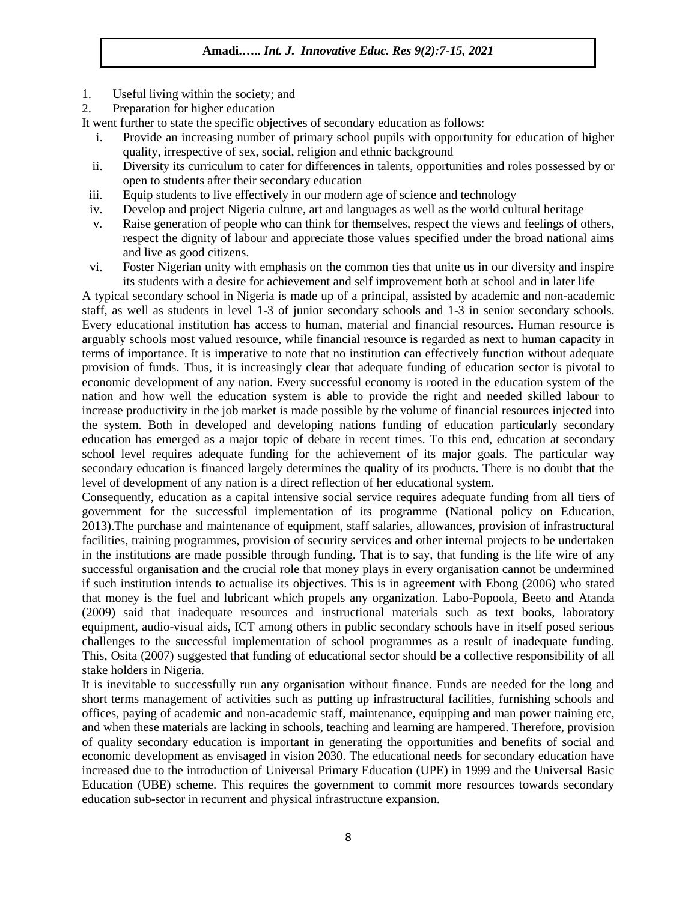- 1. Useful living within the society; and
- 2. Preparation for higher education

It went further to state the specific objectives of secondary education as follows:

- i. Provide an increasing number of primary school pupils with opportunity for education of higher quality, irrespective of sex, social, religion and ethnic background
- ii. Diversity its curriculum to cater for differences in talents, opportunities and roles possessed by or open to students after their secondary education
- iii. Equip students to live effectively in our modern age of science and technology
- iv. Develop and project Nigeria culture, art and languages as well as the world cultural heritage
- v. Raise generation of people who can think for themselves, respect the views and feelings of others, respect the dignity of labour and appreciate those values specified under the broad national aims and live as good citizens.
- vi. Foster Nigerian unity with emphasis on the common ties that unite us in our diversity and inspire its students with a desire for achievement and self improvement both at school and in later life

A typical secondary school in Nigeria is made up of a principal, assisted by academic and non-academic staff, as well as students in level 1-3 of junior secondary schools and 1-3 in senior secondary schools. Every educational institution has access to human, material and financial resources. Human resource is arguably schools most valued resource, while financial resource is regarded as next to human capacity in terms of importance. It is imperative to note that no institution can effectively function without adequate provision of funds. Thus, it is increasingly clear that adequate funding of education sector is pivotal to economic development of any nation. Every successful economy is rooted in the education system of the nation and how well the education system is able to provide the right and needed skilled labour to increase productivity in the job market is made possible by the volume of financial resources injected into the system. Both in developed and developing nations funding of education particularly secondary education has emerged as a major topic of debate in recent times. To this end, education at secondary school level requires adequate funding for the achievement of its major goals. The particular way secondary education is financed largely determines the quality of its products. There is no doubt that the level of development of any nation is a direct reflection of her educational system.

Consequently, education as a capital intensive social service requires adequate funding from all tiers of government for the successful implementation of its programme (National policy on Education, 2013).The purchase and maintenance of equipment, staff salaries, allowances, provision of infrastructural facilities, training programmes, provision of security services and other internal projects to be undertaken in the institutions are made possible through funding. That is to say, that funding is the life wire of any successful organisation and the crucial role that money plays in every organisation cannot be undermined if such institution intends to actualise its objectives. This is in agreement with Ebong (2006) who stated that money is the fuel and lubricant which propels any organization. Labo-Popoola, Beeto and Atanda (2009) said that inadequate resources and instructional materials such as text books, laboratory equipment, audio-visual aids, ICT among others in public secondary schools have in itself posed serious challenges to the successful implementation of school programmes as a result of inadequate funding. This, Osita (2007) suggested that funding of educational sector should be a collective responsibility of all stake holders in Nigeria.

It is inevitable to successfully run any organisation without finance. Funds are needed for the long and short terms management of activities such as putting up infrastructural facilities, furnishing schools and offices, paying of academic and non-academic staff, maintenance, equipping and man power training etc, and when these materials are lacking in schools, teaching and learning are hampered. Therefore, provision of quality secondary education is important in generating the opportunities and benefits of social and economic development as envisaged in vision 2030. The educational needs for secondary education have increased due to the introduction of Universal Primary Education (UPE) in 1999 and the Universal Basic Education (UBE) scheme. This requires the government to commit more resources towards secondary education sub-sector in recurrent and physical infrastructure expansion.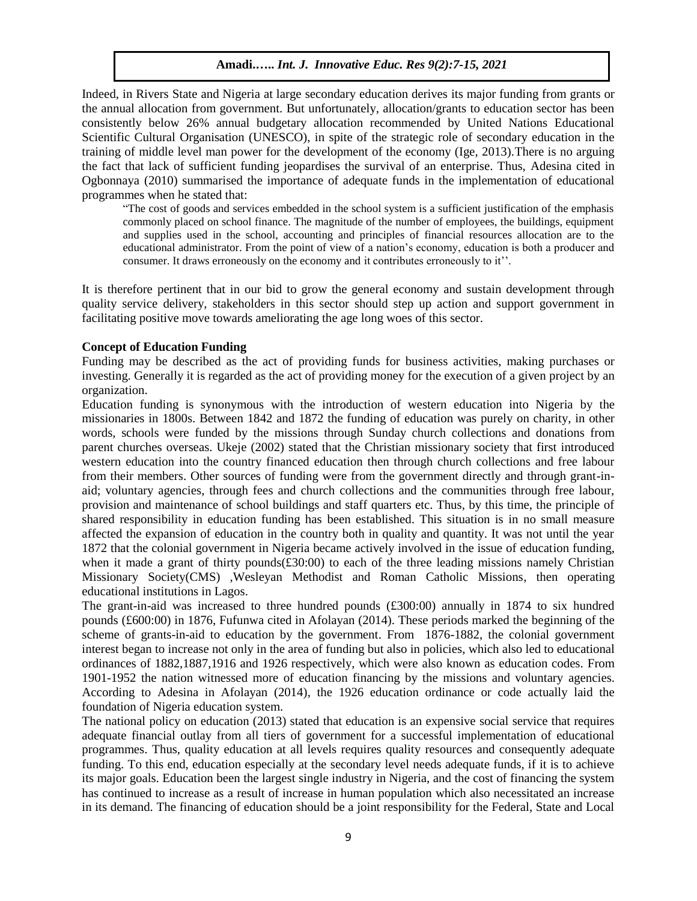Indeed, in Rivers State and Nigeria at large secondary education derives its major funding from grants or the annual allocation from government. But unfortunately, allocation/grants to education sector has been consistently below 26% annual budgetary allocation recommended by United Nations Educational Scientific Cultural Organisation (UNESCO), in spite of the strategic role of secondary education in the training of middle level man power for the development of the economy (Ige, 2013).There is no arguing the fact that lack of sufficient funding jeopardises the survival of an enterprise. Thus, Adesina cited in Ogbonnaya (2010) summarised the importance of adequate funds in the implementation of educational programmes when he stated that:

"The cost of goods and services embedded in the school system is a sufficient justification of the emphasis commonly placed on school finance. The magnitude of the number of employees, the buildings, equipment and supplies used in the school, accounting and principles of financial resources allocation are to the educational administrator. From the point of view of a nation's economy, education is both a producer and consumer. It draws erroneously on the economy and it contributes erroneously to it''.

It is therefore pertinent that in our bid to grow the general economy and sustain development through quality service delivery, stakeholders in this sector should step up action and support government in facilitating positive move towards ameliorating the age long woes of this sector.

#### **Concept of Education Funding**

Funding may be described as the act of providing funds for business activities, making purchases or investing. Generally it is regarded as the act of providing money for the execution of a given project by an organization.

Education funding is synonymous with the introduction of western education into Nigeria by the missionaries in 1800s. Between 1842 and 1872 the funding of education was purely on charity, in other words, schools were funded by the missions through Sunday church collections and donations from parent churches overseas. Ukeje (2002) stated that the Christian missionary society that first introduced western education into the country financed education then through church collections and free labour from their members. Other sources of funding were from the government directly and through grant-inaid; voluntary agencies, through fees and church collections and the communities through free labour, provision and maintenance of school buildings and staff quarters etc. Thus, by this time, the principle of shared responsibility in education funding has been established. This situation is in no small measure affected the expansion of education in the country both in quality and quantity. It was not until the year 1872 that the colonial government in Nigeria became actively involved in the issue of education funding, when it made a grant of thirty pounds $(\text{\textsterling}30:00)$  to each of the three leading missions namely Christian Missionary Society(CMS) ,Wesleyan Methodist and Roman Catholic Missions, then operating educational institutions in Lagos.

The grant-in-aid was increased to three hundred pounds (£300:00) annually in 1874 to six hundred pounds (£600:00) in 1876, Fufunwa cited in Afolayan (2014). These periods marked the beginning of the scheme of grants-in-aid to education by the government. From 1876-1882, the colonial government interest began to increase not only in the area of funding but also in policies, which also led to educational ordinances of 1882,1887,1916 and 1926 respectively, which were also known as education codes. From 1901-1952 the nation witnessed more of education financing by the missions and voluntary agencies. According to Adesina in Afolayan (2014), the 1926 education ordinance or code actually laid the foundation of Nigeria education system.

The national policy on education (2013) stated that education is an expensive social service that requires adequate financial outlay from all tiers of government for a successful implementation of educational programmes. Thus, quality education at all levels requires quality resources and consequently adequate funding. To this end, education especially at the secondary level needs adequate funds, if it is to achieve its major goals. Education been the largest single industry in Nigeria, and the cost of financing the system has continued to increase as a result of increase in human population which also necessitated an increase in its demand. The financing of education should be a joint responsibility for the Federal, State and Local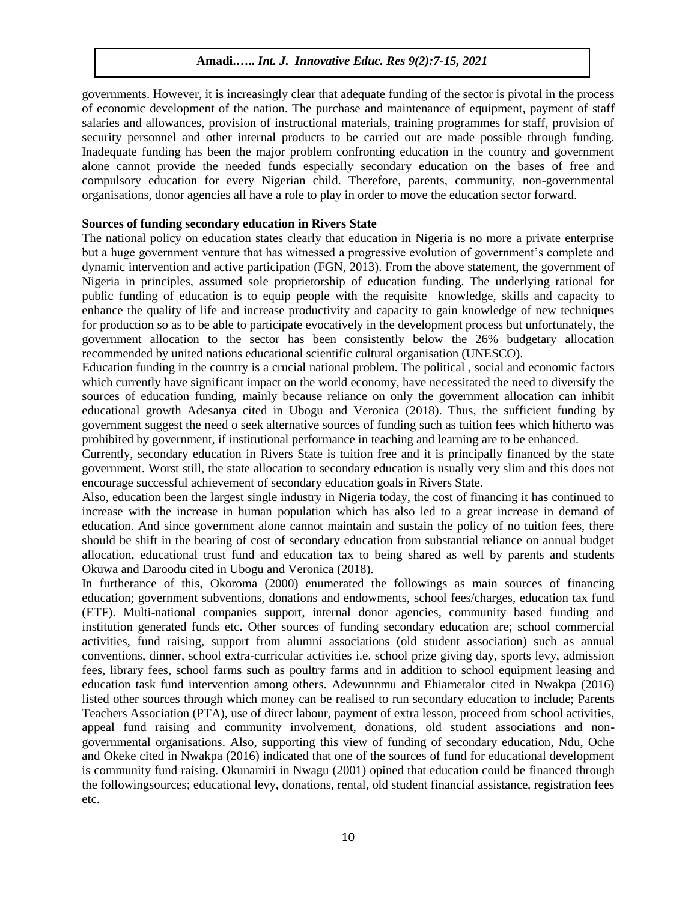governments. However, it is increasingly clear that adequate funding of the sector is pivotal in the process of economic development of the nation. The purchase and maintenance of equipment, payment of staff salaries and allowances, provision of instructional materials, training programmes for staff, provision of security personnel and other internal products to be carried out are made possible through funding. Inadequate funding has been the major problem confronting education in the country and government alone cannot provide the needed funds especially secondary education on the bases of free and compulsory education for every Nigerian child. Therefore, parents, community, non-governmental organisations, donor agencies all have a role to play in order to move the education sector forward.

#### **Sources of funding secondary education in Rivers State**

The national policy on education states clearly that education in Nigeria is no more a private enterprise but a huge government venture that has witnessed a progressive evolution of government's complete and dynamic intervention and active participation (FGN, 2013). From the above statement, the government of Nigeria in principles, assumed sole proprietorship of education funding. The underlying rational for public funding of education is to equip people with the requisite knowledge, skills and capacity to enhance the quality of life and increase productivity and capacity to gain knowledge of new techniques for production so as to be able to participate evocatively in the development process but unfortunately, the government allocation to the sector has been consistently below the 26% budgetary allocation recommended by united nations educational scientific cultural organisation (UNESCO).

Education funding in the country is a crucial national problem. The political , social and economic factors which currently have significant impact on the world economy, have necessitated the need to diversify the sources of education funding, mainly because reliance on only the government allocation can inhibit educational growth Adesanya cited in Ubogu and Veronica (2018). Thus, the sufficient funding by government suggest the need o seek alternative sources of funding such as tuition fees which hitherto was prohibited by government, if institutional performance in teaching and learning are to be enhanced.

Currently, secondary education in Rivers State is tuition free and it is principally financed by the state government. Worst still, the state allocation to secondary education is usually very slim and this does not encourage successful achievement of secondary education goals in Rivers State.

Also, education been the largest single industry in Nigeria today, the cost of financing it has continued to increase with the increase in human population which has also led to a great increase in demand of education. And since government alone cannot maintain and sustain the policy of no tuition fees, there should be shift in the bearing of cost of secondary education from substantial reliance on annual budget allocation, educational trust fund and education tax to being shared as well by parents and students Okuwa and Daroodu cited in Ubogu and Veronica (2018).

In furtherance of this, Okoroma (2000) enumerated the followings as main sources of financing education; government subventions, donations and endowments, school fees/charges, education tax fund (ETF). Multi-national companies support, internal donor agencies, community based funding and institution generated funds etc. Other sources of funding secondary education are; school commercial activities, fund raising, support from alumni associations (old student association) such as annual conventions, dinner, school extra-curricular activities i.e. school prize giving day, sports levy, admission fees, library fees, school farms such as poultry farms and in addition to school equipment leasing and education task fund intervention among others. Adewunnmu and Ehiametalor cited in Nwakpa (2016) listed other sources through which money can be realised to run secondary education to include; Parents Teachers Association (PTA), use of direct labour, payment of extra lesson, proceed from school activities, appeal fund raising and community involvement, donations, old student associations and nongovernmental organisations. Also, supporting this view of funding of secondary education, Ndu, Oche and Okeke cited in Nwakpa (2016) indicated that one of the sources of fund for educational development is community fund raising. Okunamiri in Nwagu (2001) opined that education could be financed through the followingsources; educational levy, donations, rental, old student financial assistance, registration fees etc.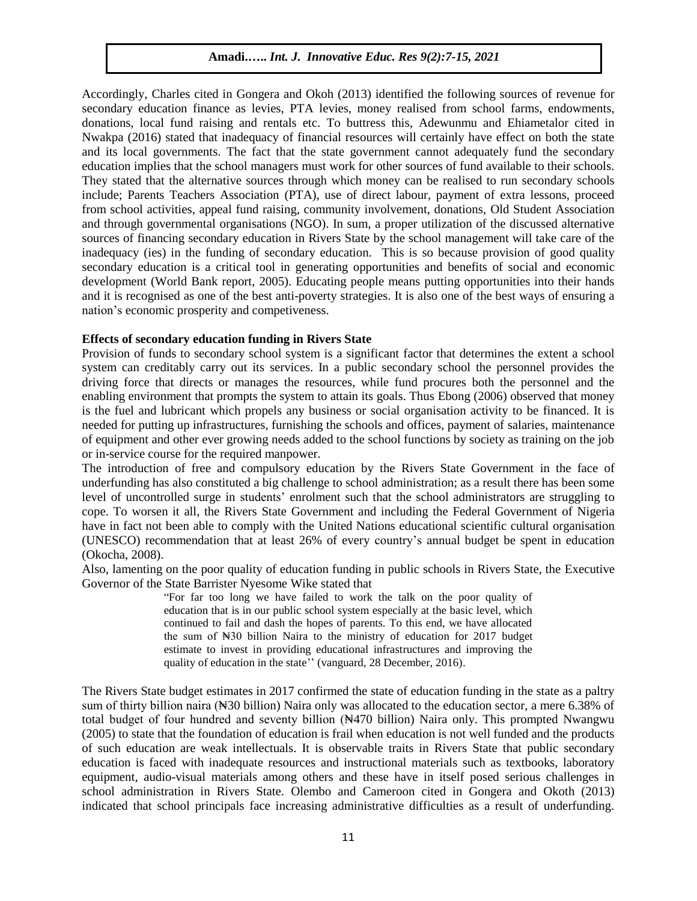Accordingly, Charles cited in Gongera and Okoh (2013) identified the following sources of revenue for secondary education finance as levies, PTA levies, money realised from school farms, endowments, donations, local fund raising and rentals etc. To buttress this, Adewunmu and Ehiametalor cited in Nwakpa (2016) stated that inadequacy of financial resources will certainly have effect on both the state and its local governments. The fact that the state government cannot adequately fund the secondary education implies that the school managers must work for other sources of fund available to their schools. They stated that the alternative sources through which money can be realised to run secondary schools include; Parents Teachers Association (PTA), use of direct labour, payment of extra lessons, proceed from school activities, appeal fund raising, community involvement, donations, Old Student Association and through governmental organisations (NGO). In sum, a proper utilization of the discussed alternative sources of financing secondary education in Rivers State by the school management will take care of the inadequacy (ies) in the funding of secondary education. This is so because provision of good quality secondary education is a critical tool in generating opportunities and benefits of social and economic development (World Bank report, 2005). Educating people means putting opportunities into their hands and it is recognised as one of the best anti-poverty strategies. It is also one of the best ways of ensuring a nation's economic prosperity and competiveness.

## **Effects of secondary education funding in Rivers State**

Provision of funds to secondary school system is a significant factor that determines the extent a school system can creditably carry out its services. In a public secondary school the personnel provides the driving force that directs or manages the resources, while fund procures both the personnel and the enabling environment that prompts the system to attain its goals. Thus Ebong (2006) observed that money is the fuel and lubricant which propels any business or social organisation activity to be financed. It is needed for putting up infrastructures, furnishing the schools and offices, payment of salaries, maintenance of equipment and other ever growing needs added to the school functions by society as training on the job or in-service course for the required manpower.

The introduction of free and compulsory education by the Rivers State Government in the face of underfunding has also constituted a big challenge to school administration; as a result there has been some level of uncontrolled surge in students' enrolment such that the school administrators are struggling to cope. To worsen it all, the Rivers State Government and including the Federal Government of Nigeria have in fact not been able to comply with the United Nations educational scientific cultural organisation (UNESCO) recommendation that at least 26% of every country's annual budget be spent in education (Okocha, 2008).

Also, lamenting on the poor quality of education funding in public schools in Rivers State, the Executive Governor of the State Barrister Nyesome Wike stated that

"For far too long we have failed to work the talk on the poor quality of education that is in our public school system especially at the basic level, which continued to fail and dash the hopes of parents. To this end, we have allocated the sum of  $\mathbb{N}30$  billion Naira to the ministry of education for 2017 budget estimate to invest in providing educational infrastructures and improving the quality of education in the state'' (vanguard, 28 December, 2016).

The Rivers State budget estimates in 2017 confirmed the state of education funding in the state as a paltry sum of thirty billion naira (N<sub>3</sub>30 billion) Naira only was allocated to the education sector, a mere 6.38% of total budget of four hundred and seventy billion (N470 billion) Naira only. This prompted Nwangwu (2005) to state that the foundation of education is frail when education is not well funded and the products of such education are weak intellectuals. It is observable traits in Rivers State that public secondary education is faced with inadequate resources and instructional materials such as textbooks, laboratory equipment, audio-visual materials among others and these have in itself posed serious challenges in school administration in Rivers State. Olembo and Cameroon cited in Gongera and Okoth (2013) indicated that school principals face increasing administrative difficulties as a result of underfunding.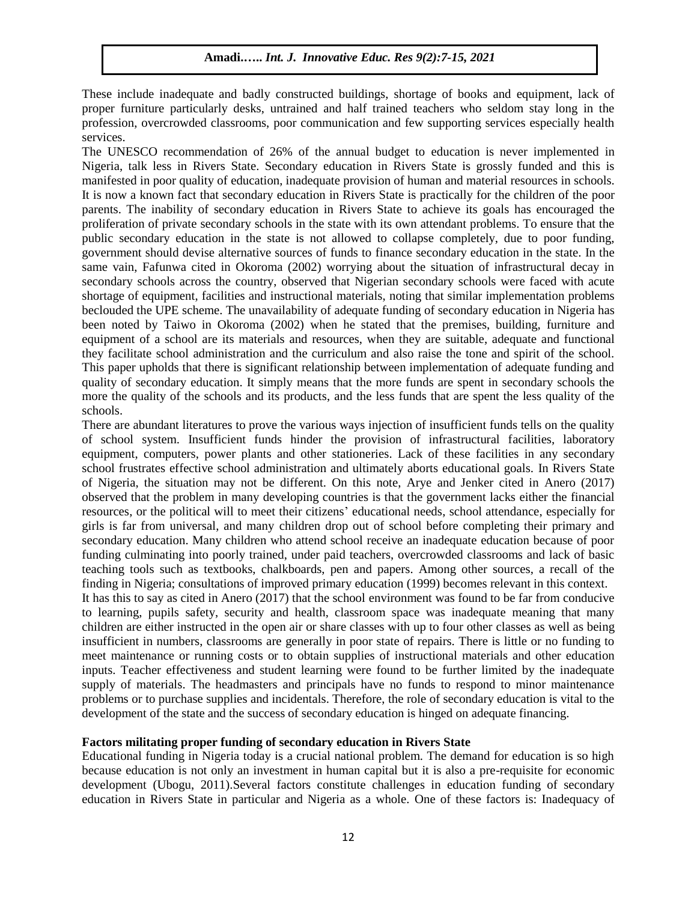These include inadequate and badly constructed buildings, shortage of books and equipment, lack of proper furniture particularly desks, untrained and half trained teachers who seldom stay long in the profession, overcrowded classrooms, poor communication and few supporting services especially health services.

The UNESCO recommendation of 26% of the annual budget to education is never implemented in Nigeria, talk less in Rivers State. Secondary education in Rivers State is grossly funded and this is manifested in poor quality of education, inadequate provision of human and material resources in schools. It is now a known fact that secondary education in Rivers State is practically for the children of the poor parents. The inability of secondary education in Rivers State to achieve its goals has encouraged the proliferation of private secondary schools in the state with its own attendant problems. To ensure that the public secondary education in the state is not allowed to collapse completely, due to poor funding, government should devise alternative sources of funds to finance secondary education in the state. In the same vain, Fafunwa cited in Okoroma (2002) worrying about the situation of infrastructural decay in secondary schools across the country, observed that Nigerian secondary schools were faced with acute shortage of equipment, facilities and instructional materials, noting that similar implementation problems beclouded the UPE scheme. The unavailability of adequate funding of secondary education in Nigeria has been noted by Taiwo in Okoroma (2002) when he stated that the premises, building, furniture and equipment of a school are its materials and resources, when they are suitable, adequate and functional they facilitate school administration and the curriculum and also raise the tone and spirit of the school. This paper upholds that there is significant relationship between implementation of adequate funding and quality of secondary education. It simply means that the more funds are spent in secondary schools the more the quality of the schools and its products, and the less funds that are spent the less quality of the schools.

There are abundant literatures to prove the various ways injection of insufficient funds tells on the quality of school system. Insufficient funds hinder the provision of infrastructural facilities, laboratory equipment, computers, power plants and other stationeries. Lack of these facilities in any secondary school frustrates effective school administration and ultimately aborts educational goals. In Rivers State of Nigeria, the situation may not be different. On this note, Arye and Jenker cited in Anero (2017) observed that the problem in many developing countries is that the government lacks either the financial resources, or the political will to meet their citizens' educational needs, school attendance, especially for girls is far from universal, and many children drop out of school before completing their primary and secondary education. Many children who attend school receive an inadequate education because of poor funding culminating into poorly trained, under paid teachers, overcrowded classrooms and lack of basic teaching tools such as textbooks, chalkboards, pen and papers. Among other sources, a recall of the finding in Nigeria; consultations of improved primary education (1999) becomes relevant in this context.

It has this to say as cited in Anero (2017) that the school environment was found to be far from conducive to learning, pupils safety, security and health, classroom space was inadequate meaning that many children are either instructed in the open air or share classes with up to four other classes as well as being insufficient in numbers, classrooms are generally in poor state of repairs. There is little or no funding to meet maintenance or running costs or to obtain supplies of instructional materials and other education inputs. Teacher effectiveness and student learning were found to be further limited by the inadequate supply of materials. The headmasters and principals have no funds to respond to minor maintenance problems or to purchase supplies and incidentals. Therefore, the role of secondary education is vital to the development of the state and the success of secondary education is hinged on adequate financing.

#### **Factors militating proper funding of secondary education in Rivers State**

Educational funding in Nigeria today is a crucial national problem. The demand for education is so high because education is not only an investment in human capital but it is also a pre-requisite for economic development (Ubogu, 2011).Several factors constitute challenges in education funding of secondary education in Rivers State in particular and Nigeria as a whole. One of these factors is: Inadequacy of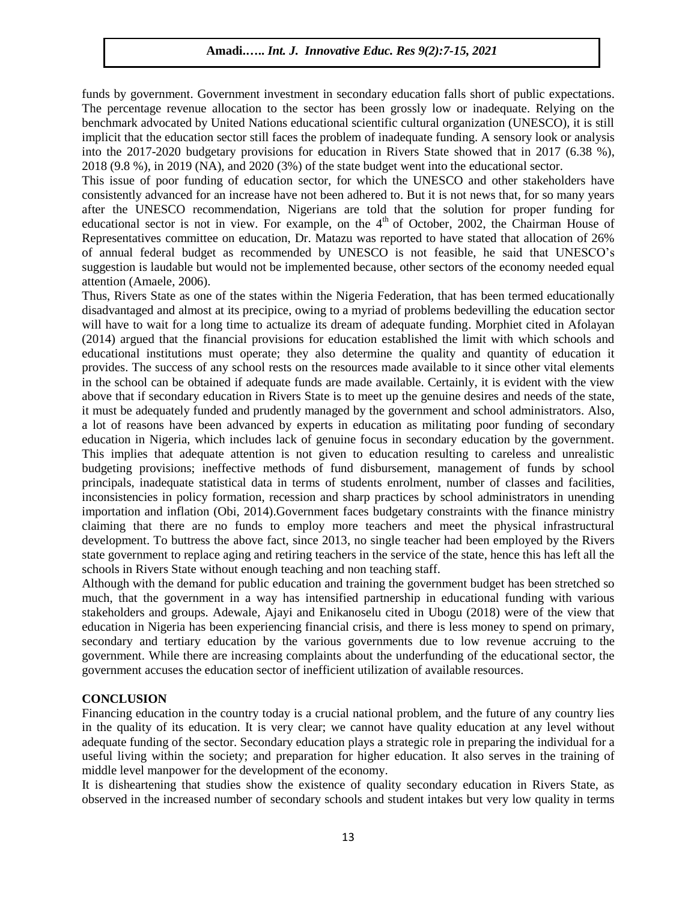funds by government. Government investment in secondary education falls short of public expectations. The percentage revenue allocation to the sector has been grossly low or inadequate. Relying on the benchmark advocated by United Nations educational scientific cultural organization (UNESCO), it is still implicit that the education sector still faces the problem of inadequate funding. A sensory look or analysis into the 2017-2020 budgetary provisions for education in Rivers State showed that in 2017 (6.38 %), 2018 (9.8 %), in 2019 (NA), and 2020 (3%) of the state budget went into the educational sector.

This issue of poor funding of education sector, for which the UNESCO and other stakeholders have consistently advanced for an increase have not been adhered to. But it is not news that, for so many years after the UNESCO recommendation, Nigerians are told that the solution for proper funding for educational sector is not in view. For example, on the 4<sup>th</sup> of October, 2002, the Chairman House of Representatives committee on education, Dr. Matazu was reported to have stated that allocation of 26% of annual federal budget as recommended by UNESCO is not feasible, he said that UNESCO's suggestion is laudable but would not be implemented because, other sectors of the economy needed equal attention (Amaele, 2006).

Thus, Rivers State as one of the states within the Nigeria Federation, that has been termed educationally disadvantaged and almost at its precipice, owing to a myriad of problems bedevilling the education sector will have to wait for a long time to actualize its dream of adequate funding. Morphiet cited in Afolayan (2014) argued that the financial provisions for education established the limit with which schools and educational institutions must operate; they also determine the quality and quantity of education it provides. The success of any school rests on the resources made available to it since other vital elements in the school can be obtained if adequate funds are made available. Certainly, it is evident with the view above that if secondary education in Rivers State is to meet up the genuine desires and needs of the state, it must be adequately funded and prudently managed by the government and school administrators. Also, a lot of reasons have been advanced by experts in education as militating poor funding of secondary education in Nigeria, which includes lack of genuine focus in secondary education by the government. This implies that adequate attention is not given to education resulting to careless and unrealistic budgeting provisions; ineffective methods of fund disbursement, management of funds by school principals, inadequate statistical data in terms of students enrolment, number of classes and facilities, inconsistencies in policy formation, recession and sharp practices by school administrators in unending importation and inflation (Obi, 2014).Government faces budgetary constraints with the finance ministry claiming that there are no funds to employ more teachers and meet the physical infrastructural development. To buttress the above fact, since 2013, no single teacher had been employed by the Rivers state government to replace aging and retiring teachers in the service of the state, hence this has left all the schools in Rivers State without enough teaching and non teaching staff.

Although with the demand for public education and training the government budget has been stretched so much, that the government in a way has intensified partnership in educational funding with various stakeholders and groups. Adewale, Ajayi and Enikanoselu cited in Ubogu (2018) were of the view that education in Nigeria has been experiencing financial crisis, and there is less money to spend on primary, secondary and tertiary education by the various governments due to low revenue accruing to the government. While there are increasing complaints about the underfunding of the educational sector, the government accuses the education sector of inefficient utilization of available resources.

#### **CONCLUSION**

Financing education in the country today is a crucial national problem, and the future of any country lies in the quality of its education. It is very clear; we cannot have quality education at any level without adequate funding of the sector. Secondary education plays a strategic role in preparing the individual for a useful living within the society; and preparation for higher education. It also serves in the training of middle level manpower for the development of the economy.

It is disheartening that studies show the existence of quality secondary education in Rivers State, as observed in the increased number of secondary schools and student intakes but very low quality in terms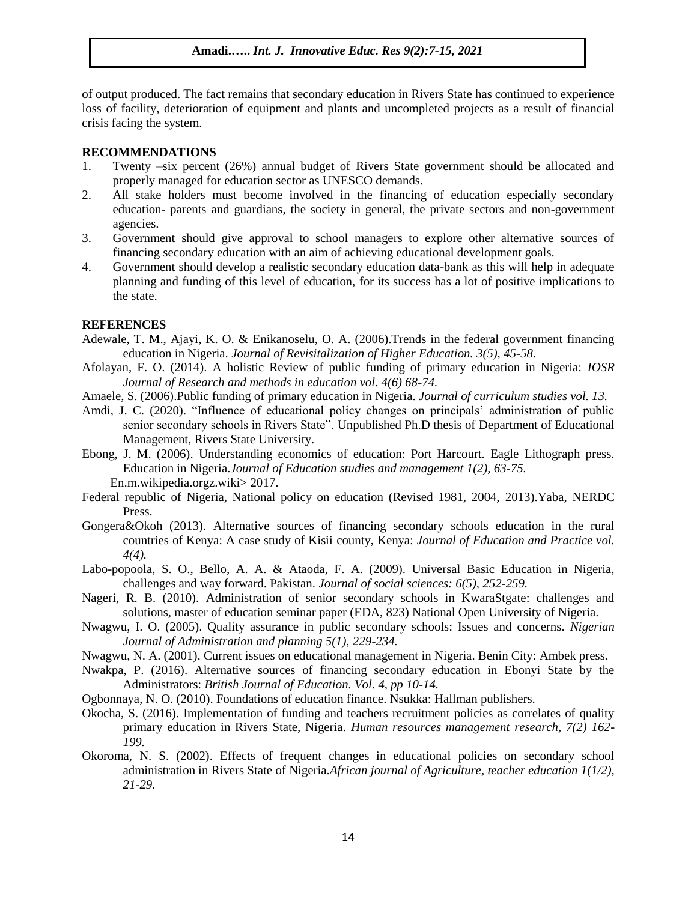of output produced. The fact remains that secondary education in Rivers State has continued to experience loss of facility, deterioration of equipment and plants and uncompleted projects as a result of financial crisis facing the system.

#### **RECOMMENDATIONS**

- 1. Twenty –six percent (26%) annual budget of Rivers State government should be allocated and properly managed for education sector as UNESCO demands.
- 2. All stake holders must become involved in the financing of education especially secondary education- parents and guardians, the society in general, the private sectors and non-government agencies.
- 3. Government should give approval to school managers to explore other alternative sources of financing secondary education with an aim of achieving educational development goals.
- 4. Government should develop a realistic secondary education data-bank as this will help in adequate planning and funding of this level of education, for its success has a lot of positive implications to the state.

#### **REFERENCES**

- Adewale, T. M., Ajayi, K. O. & Enikanoselu, O. A. (2006).Trends in the federal government financing education in Nigeria. *Journal of Revisitalization of Higher Education. 3(5), 45-58.*
- Afolayan, F. O. (2014). A holistic Review of public funding of primary education in Nigeria: *IOSR Journal of Research and methods in education vol. 4(6) 68-74.*
- Amaele, S. (2006).Public funding of primary education in Nigeria. *Journal of curriculum studies vol. 13.*
- Amdi, J. C. (2020). "Influence of educational policy changes on principals' administration of public senior secondary schools in Rivers State". Unpublished Ph.D thesis of Department of Educational Management, Rivers State University.
- Ebong, J. M. (2006). Understanding economics of education: Port Harcourt. Eagle Lithograph press. Education in Nigeria.*Journal of Education studies and management 1(2), 63-75.* En.m.wikipedia.orgz.wiki> 2017.
- Federal republic of Nigeria, National policy on education (Revised 1981, 2004, 2013).Yaba, NERDC Press.
- Gongera&Okoh (2013). Alternative sources of financing secondary schools education in the rural countries of Kenya: A case study of Kisii county, Kenya: *Journal of Education and Practice vol. 4(4).*
- Labo-popoola, S. O., Bello, A. A. & Ataoda, F. A. (2009). Universal Basic Education in Nigeria, challenges and way forward. Pakistan. *Journal of social sciences: 6(5), 252-259.*
- Nageri, R. B. (2010). Administration of senior secondary schools in KwaraStgate: challenges and solutions, master of education seminar paper (EDA, 823) National Open University of Nigeria.
- Nwagwu, I. O. (2005). Quality assurance in public secondary schools: Issues and concerns. *Nigerian Journal of Administration and planning 5(1), 229-234.*
- Nwagwu, N. A. (2001). Current issues on educational management in Nigeria. Benin City: Ambek press.
- Nwakpa, P. (2016). Alternative sources of financing secondary education in Ebonyi State by the Administrators: *British Journal of Education. Vol. 4, pp 10-14.*
- Ogbonnaya, N. O. (2010). Foundations of education finance. Nsukka: Hallman publishers.
- Okocha, S. (2016). Implementation of funding and teachers recruitment policies as correlates of quality primary education in Rivers State, Nigeria. *Human resources management research, 7(2) 162- 199.*
- Okoroma, N. S. (2002). Effects of frequent changes in educational policies on secondary school administration in Rivers State of Nigeria.*African journal of Agriculture, teacher education 1(1/2), 21-29.*